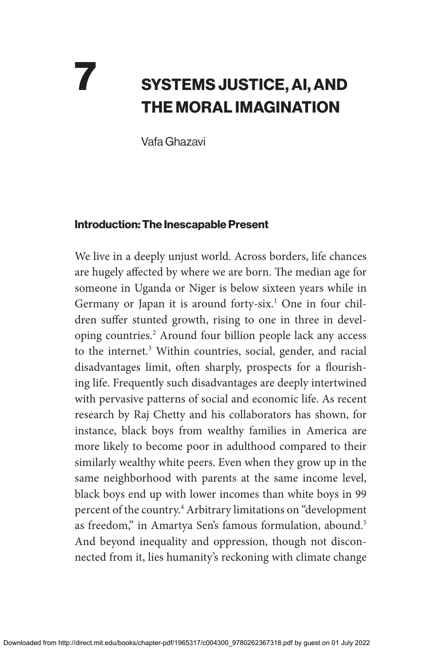# SYSTEMS JUSTICE, AI, AND THE MORAL IMAGINATION 7

Vafa Ghazavi

# Introduction: The Inescapable Present

We live in a deeply unjust world. Across borders, life chances are hugely affected by where we are born. The median age for someone in Uganda or Niger is below sixteen years while in Germany or Japan it is around forty-six.<sup>1</sup> One in four children suffer stunted growth, rising to one in three in developing countries.<sup>2</sup> Around four billion people lack any access to the internet.<sup>3</sup> Within countries, social, gender, and racial disadvantages limit, often sharply, prospects for a flourishing life. Frequently such disadvantages are deeply intertwined with pervasive patterns of social and economic life. As recent research by Raj Chetty and his collaborators has shown, for instance, black boys from wealthy families in America are more likely to become poor in adulthood compared to their similarly wealthy white peers. Even when they grow up in the same neighborhood with parents at the same income level, black boys end up with lower incomes than white boys in 99 percent of the country.<sup>4</sup> Arbitrary limitations on "development as freedom," in Amartya Sen's famous formulation, abound.<sup>5</sup> And beyond inequality and oppression, though not disconnected from it, lies humanity's reckoning with climate change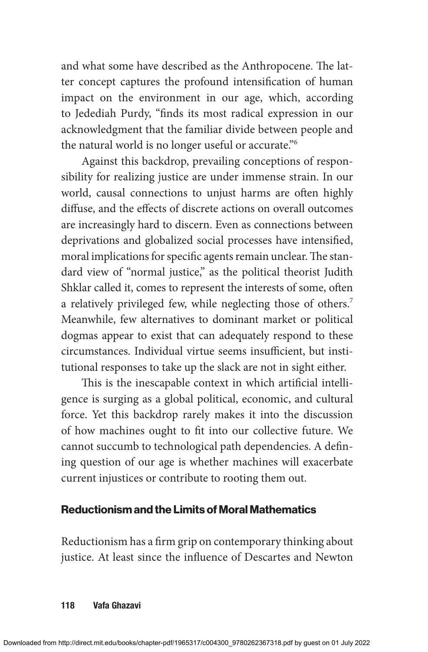and what some have described as the Anthropocene. The latter concept captures the profound intensification of human impact on the environment in our age, which, according to Jedediah Purdy, "finds its most radical expression in our acknowledgment that the familiar divide between people and the natural world is no longer useful or accurate."6

Against this backdrop, prevailing conceptions of responsibility for realizing justice are under immense strain. In our world, causal connections to unjust harms are often highly diffuse, and the effects of discrete actions on overall outcomes are increasingly hard to discern. Even as connections between deprivations and globalized social processes have intensified, moral implications for specific agents remain unclear. The standard view of "normal justice," as the political theorist Judith Shklar called it, comes to represent the interests of some, often a relatively privileged few, while neglecting those of others.<sup>7</sup> Meanwhile, few alternatives to dominant market or political dogmas appear to exist that can adequately respond to these circumstances. Individual virtue seems insufficient, but institutional responses to take up the slack are not in sight either.

This is the inescapable context in which artificial intelligence is surging as a global political, economic, and cultural force. Yet this backdrop rarely makes it into the discussion of how machines ought to fit into our collective future. We cannot succumb to technological path dependencies. A defining question of our age is whether machines will exacerbate current injustices or contribute to rooting them out.

### Reductionism and the Limits of Moral Mathematics

Reductionism has a firm grip on contemporary thinking about justice. At least since the influence of Descartes and Newton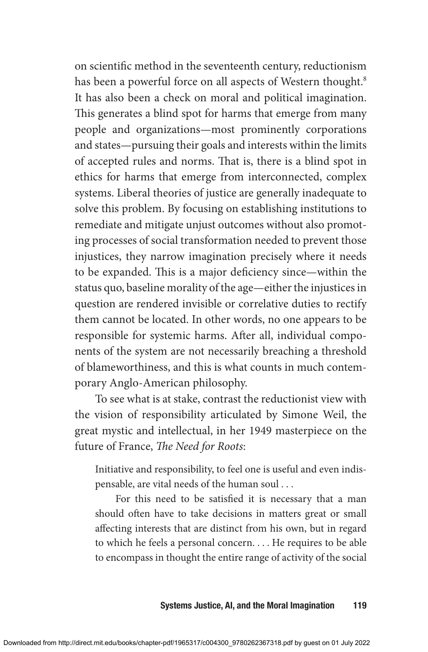on scientific method in the seventeenth century, reductionism has been a powerful force on all aspects of Western thought.<sup>8</sup> It has also been a check on moral and political imagination. This generates a blind spot for harms that emerge from many people and organizations—most prominently corporations and states—pursuing their goals and interests within the limits of accepted rules and norms. That is, there is a blind spot in ethics for harms that emerge from interconnected, complex systems. Liberal theories of justice are generally inadequate to solve this problem. By focusing on establishing institutions to remediate and mitigate unjust outcomes without also promoting processes of social transformation needed to prevent those injustices, they narrow imagination precisely where it needs to be expanded. This is a major deficiency since—within the status quo, baseline morality of the age—either the injustices in question are rendered invisible or correlative duties to rectify them cannot be located. In other words, no one appears to be responsible for systemic harms. After all, individual components of the system are not necessarily breaching a threshold of blameworthiness, and this is what counts in much contemporary Anglo-American philosophy.

To see what is at stake, contrast the reductionist view with the vision of responsibility articulated by Simone Weil, the great mystic and intellectual, in her 1949 masterpiece on the future of France, *The Need for Roots*:

Initiative and responsibility, to feel one is useful and even indispensable, are vital needs of the human soul . . .

For this need to be satisfied it is necessary that a man should often have to take decisions in matters great or small affecting interests that are distinct from his own, but in regard to which he feels a personal concern. . . . He requires to be able to encompass in thought the entire range of activity of the social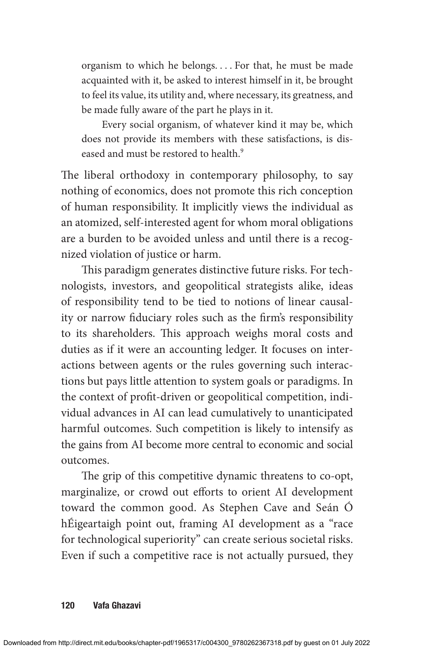organism to which he belongs. . . . For that, he must be made acquainted with it, be asked to interest himself in it, be brought to feel its value, its utility and, where necessary, its greatness, and be made fully aware of the part he plays in it.

Every social organism, of whatever kind it may be, which does not provide its members with these satisfactions, is diseased and must be restored to health.<sup>9</sup>

The liberal orthodoxy in contemporary philosophy, to say nothing of economics, does not promote this rich conception of human responsibility. It implicitly views the individual as an atomized, self-interested agent for whom moral obligations are a burden to be avoided unless and until there is a recognized violation of justice or harm.

This paradigm generates distinctive future risks. For technologists, investors, and geopolitical strategists alike, ideas of responsibility tend to be tied to notions of linear causality or narrow fiduciary roles such as the firm's responsibility to its shareholders. This approach weighs moral costs and duties as if it were an accounting ledger. It focuses on interactions between agents or the rules governing such interactions but pays little attention to system goals or paradigms. In the context of profit-driven or geopolitical competition, individual advances in AI can lead cumulatively to unanticipated harmful outcomes. Such competition is likely to intensify as the gains from AI become more central to economic and social outcomes.

The grip of this competitive dynamic threatens to co-opt, marginalize, or crowd out efforts to orient AI development toward the common good. As Stephen Cave and Seán Ó hÉigeartaigh point out, framing AI development as a "race for technological superiority" can create serious societal risks. Even if such a competitive race is not actually pursued, they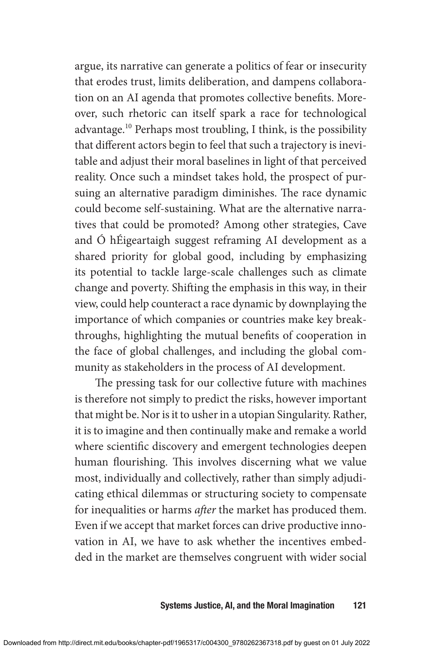argue, its narrative can generate a politics of fear or insecurity that erodes trust, limits deliberation, and dampens collaboration on an AI agenda that promotes collective benefits. Moreover, such rhetoric can itself spark a race for technological advantage.10 Perhaps most troubling, I think, is the possibility that different actors begin to feel that such a trajectory is inevitable and adjust their moral baselines in light of that perceived reality. Once such a mindset takes hold, the prospect of pursuing an alternative paradigm diminishes. The race dynamic could become self-sustaining. What are the alternative narratives that could be promoted? Among other strategies, Cave and Ó hÉigeartaigh suggest reframing AI development as a shared priority for global good, including by emphasizing its potential to tackle large-scale challenges such as climate change and poverty. Shifting the emphasis in this way, in their view, could help counteract a race dynamic by downplaying the importance of which companies or countries make key breakthroughs, highlighting the mutual benefits of cooperation in the face of global challenges, and including the global community as stakeholders in the process of AI development.

The pressing task for our collective future with machines is therefore not simply to predict the risks, however important that might be. Nor is it to usher in a utopian Singularity. Rather, it is to imagine and then continually make and remake a world where scientific discovery and emergent technologies deepen human flourishing. This involves discerning what we value most, individually and collectively, rather than simply adjudicating ethical dilemmas or structuring society to compensate for inequalities or harms *after* the market has produced them. Even if we accept that market forces can drive productive innovation in AI, we have to ask whether the incentives embedded in the market are themselves congruent with wider social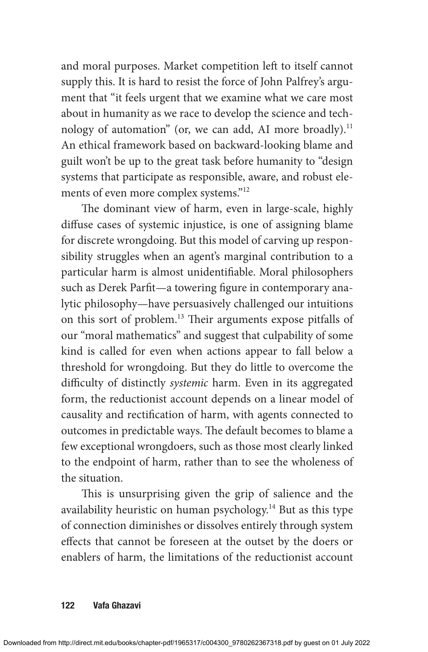and moral purposes. Market competition left to itself cannot supply this. It is hard to resist the force of John Palfrey's argument that "it feels urgent that we examine what we care most about in humanity as we race to develop the science and technology of automation" (or, we can add, AI more broadly). $11$ An ethical framework based on backward-looking blame and guilt won't be up to the great task before humanity to "design systems that participate as responsible, aware, and robust elements of even more complex systems."12

The dominant view of harm, even in large-scale, highly diffuse cases of systemic injustice, is one of assigning blame for discrete wrongdoing. But this model of carving up responsibility struggles when an agent's marginal contribution to a particular harm is almost unidentifiable. Moral philosophers such as Derek Parfit—a towering figure in contemporary analytic philosophy—have persuasively challenged our intuitions on this sort of problem.13 Their arguments expose pitfalls of our "moral mathematics" and suggest that culpability of some kind is called for even when actions appear to fall below a threshold for wrongdoing. But they do little to overcome the difficulty of distinctly *systemic* harm. Even in its aggregated form, the reductionist account depends on a linear model of causality and rectification of harm, with agents connected to outcomes in predictable ways. The default becomes to blame a few exceptional wrongdoers, such as those most clearly linked to the endpoint of harm, rather than to see the wholeness of the situation.

This is unsurprising given the grip of salience and the availability heuristic on human psychology.14 But as this type of connection diminishes or dissolves entirely through system effects that cannot be foreseen at the outset by the doers or enablers of harm, the limitations of the reductionist account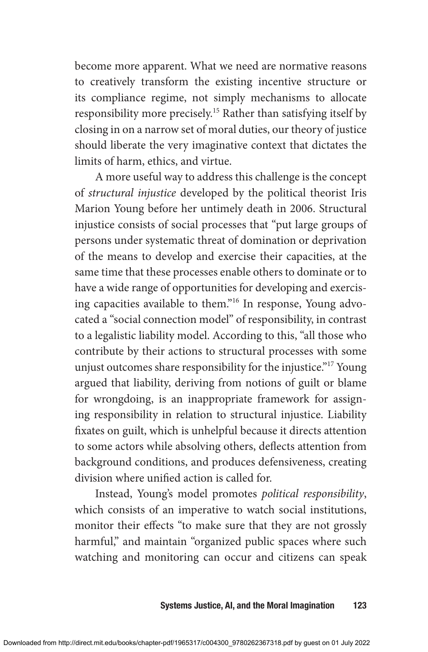become more apparent. What we need are normative reasons to creatively transform the existing incentive structure or its compliance regime, not simply mechanisms to allocate responsibility more precisely.15 Rather than satisfying itself by closing in on a narrow set of moral duties, our theory of justice should liberate the very imaginative context that dictates the limits of harm, ethics, and virtue.

A more useful way to address this challenge is the concept of *structural injustice* developed by the political theorist Iris Marion Young before her untimely death in 2006. Structural injustice consists of social processes that "put large groups of persons under systematic threat of domination or deprivation of the means to develop and exercise their capacities, at the same time that these processes enable others to dominate or to have a wide range of opportunities for developing and exercising capacities available to them."16 In response, Young advocated a "social connection model" of responsibility, in contrast to a legalistic liability model. According to this, "all those who contribute by their actions to structural processes with some unjust outcomes share responsibility for the injustice."17 Young argued that liability, deriving from notions of guilt or blame for wrongdoing, is an inappropriate framework for assigning responsibility in relation to structural injustice. Liability fixates on guilt, which is unhelpful because it directs attention to some actors while absolving others, deflects attention from background conditions, and produces defensiveness, creating division where unified action is called for.

Instead, Young's model promotes *political responsibility*, which consists of an imperative to watch social institutions, monitor their effects "to make sure that they are not grossly harmful," and maintain "organized public spaces where such watching and monitoring can occur and citizens can speak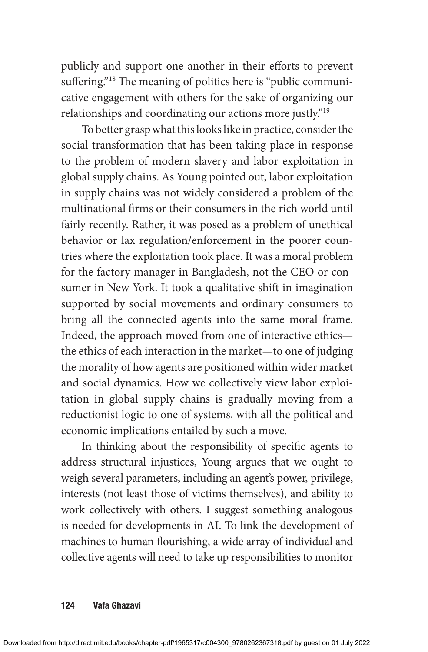publicly and support one another in their efforts to prevent suffering."<sup>18</sup> The meaning of politics here is "public communicative engagement with others for the sake of organizing our relationships and coordinating our actions more justly."19

To better grasp what this looks like in practice, consider the social transformation that has been taking place in response to the problem of modern slavery and labor exploitation in global supply chains. As Young pointed out, labor exploitation in supply chains was not widely considered a problem of the multinational firms or their consumers in the rich world until fairly recently. Rather, it was posed as a problem of unethical behavior or lax regulation/enforcement in the poorer countries where the exploitation took place. It was a moral problem for the factory manager in Bangladesh, not the CEO or consumer in New York. It took a qualitative shift in imagination supported by social movements and ordinary consumers to bring all the connected agents into the same moral frame. Indeed, the approach moved from one of interactive ethics the ethics of each interaction in the market—to one of judging the morality of how agents are positioned within wider market and social dynamics. How we collectively view labor exploitation in global supply chains is gradually moving from a reductionist logic to one of systems, with all the political and economic implications entailed by such a move.

In thinking about the responsibility of specific agents to address structural injustices, Young argues that we ought to weigh several parameters, including an agent's power, privilege, interests (not least those of victims themselves), and ability to work collectively with others. I suggest something analogous is needed for developments in AI. To link the development of machines to human flourishing, a wide array of individual and collective agents will need to take up responsibilities to monitor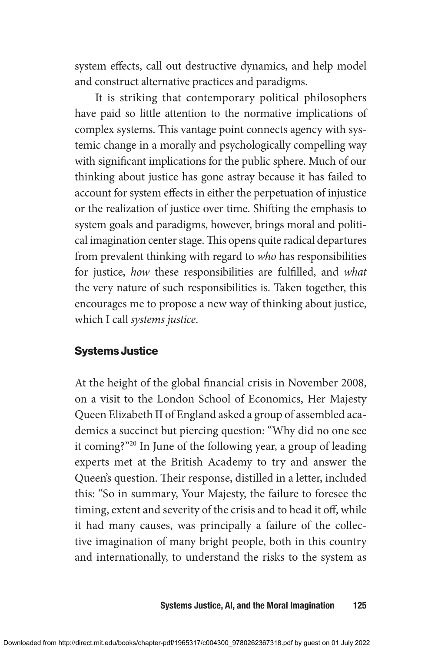system effects, call out destructive dynamics, and help model and construct alternative practices and paradigms.

It is striking that contemporary political philosophers have paid so little attention to the normative implications of complex systems. This vantage point connects agency with systemic change in a morally and psychologically compelling way with significant implications for the public sphere. Much of our thinking about justice has gone astray because it has failed to account for system effects in either the perpetuation of injustice or the realization of justice over time. Shifting the emphasis to system goals and paradigms, however, brings moral and political imagination center stage. This opens quite radical departures from prevalent thinking with regard to *who* has responsibilities for justice, *how* these responsibilities are fulfilled, and *what* the very nature of such responsibilities is. Taken together, this encourages me to propose a new way of thinking about justice, which I call *systems justice*.

# Systems Justice

At the height of the global financial crisis in November 2008, on a visit to the London School of Economics, Her Majesty Queen Elizabeth II of England asked a group of assembled academics a succinct but piercing question: "Why did no one see it coming?"20 In June of the following year, a group of leading experts met at the British Academy to try and answer the Queen's question. Their response, distilled in a letter, included this: "So in summary, Your Majesty, the failure to foresee the timing, extent and severity of the crisis and to head it off, while it had many causes, was principally a failure of the collective imagination of many bright people, both in this country and internationally, to understand the risks to the system as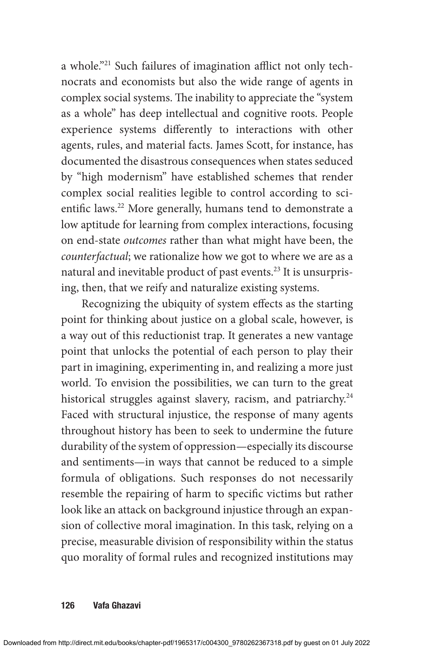a whole."21 Such failures of imagination afflict not only technocrats and economists but also the wide range of agents in complex social systems. The inability to appreciate the "system as a whole" has deep intellectual and cognitive roots. People experience systems differently to interactions with other agents, rules, and material facts. James Scott, for instance, has documented the disastrous consequences when states seduced by "high modernism" have established schemes that render complex social realities legible to control according to scientific laws.<sup>22</sup> More generally, humans tend to demonstrate a low aptitude for learning from complex interactions, focusing on end-state *outcomes* rather than what might have been, the *counterfactual*; we rationalize how we got to where we are as a natural and inevitable product of past events.<sup>23</sup> It is unsurprising, then, that we reify and naturalize existing systems.

Recognizing the ubiquity of system effects as the starting point for thinking about justice on a global scale, however, is a way out of this reductionist trap. It generates a new vantage point that unlocks the potential of each person to play their part in imagining, experimenting in, and realizing a more just world. To envision the possibilities, we can turn to the great historical struggles against slavery, racism, and patriarchy.<sup>24</sup> Faced with structural injustice, the response of many agents throughout history has been to seek to undermine the future durability of the system of oppression—especially its discourse and sentiments—in ways that cannot be reduced to a simple formula of obligations. Such responses do not necessarily resemble the repairing of harm to specific victims but rather look like an attack on background injustice through an expansion of collective moral imagination. In this task, relying on a precise, measurable division of responsibility within the status quo morality of formal rules and recognized institutions may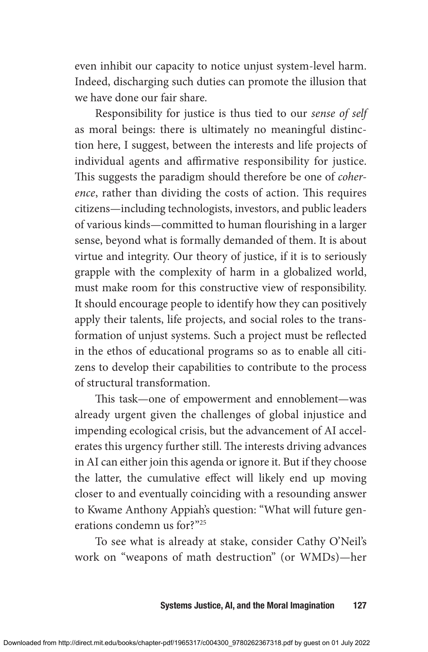even inhibit our capacity to notice unjust system-level harm. Indeed, discharging such duties can promote the illusion that we have done our fair share.

Responsibility for justice is thus tied to our *sense of self* as moral beings: there is ultimately no meaningful distinction here, I suggest, between the interests and life projects of individual agents and affirmative responsibility for justice. This suggests the paradigm should therefore be one of *coherence*, rather than dividing the costs of action. This requires citizens—including technologists, investors, and public leaders of various kinds—committed to human flourishing in a larger sense, beyond what is formally demanded of them. It is about virtue and integrity. Our theory of justice, if it is to seriously grapple with the complexity of harm in a globalized world, must make room for this constructive view of responsibility. It should encourage people to identify how they can positively apply their talents, life projects, and social roles to the transformation of unjust systems. Such a project must be reflected in the ethos of educational programs so as to enable all citizens to develop their capabilities to contribute to the process of structural transformation.

This task—one of empowerment and ennoblement—was already urgent given the challenges of global injustice and impending ecological crisis, but the advancement of AI accelerates this urgency further still. The interests driving advances in AI can either join this agenda or ignore it. But if they choose the latter, the cumulative effect will likely end up moving closer to and eventually coinciding with a resounding answer to Kwame Anthony Appiah's question: "What will future generations condemn us for?"25

To see what is already at stake, consider Cathy O'Neil's work on "weapons of math destruction" (or WMDs)—her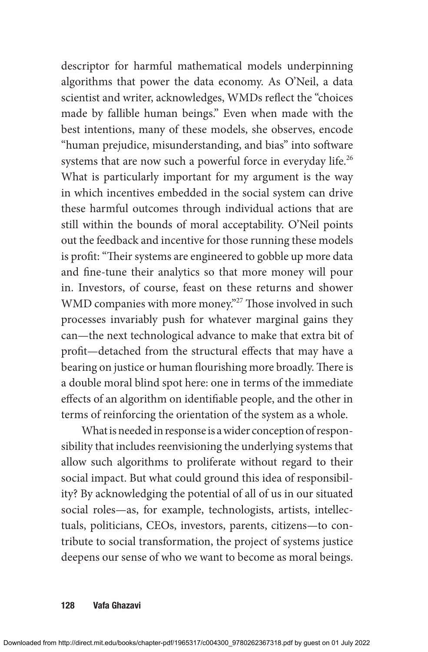descriptor for harmful mathematical models underpinning algorithms that power the data economy. As O'Neil, a data scientist and writer, acknowledges, WMDs reflect the "choices made by fallible human beings." Even when made with the best intentions, many of these models, she observes, encode "human prejudice, misunderstanding, and bias" into software systems that are now such a powerful force in everyday life.<sup>26</sup> What is particularly important for my argument is the way in which incentives embedded in the social system can drive these harmful outcomes through individual actions that are still within the bounds of moral acceptability. O'Neil points out the feedback and incentive for those running these models is profit: "Their systems are engineered to gobble up more data and fine-tune their analytics so that more money will pour in. Investors, of course, feast on these returns and shower WMD companies with more money."<sup>27</sup> Those involved in such processes invariably push for whatever marginal gains they can—the next technological advance to make that extra bit of profit—detached from the structural effects that may have a bearing on justice or human flourishing more broadly. There is a double moral blind spot here: one in terms of the immediate effects of an algorithm on identifiable people, and the other in terms of reinforcing the orientation of the system as a whole.

What is needed in response is a wider conception of responsibility that includes reenvisioning the underlying systems that allow such algorithms to proliferate without regard to their social impact. But what could ground this idea of responsibility? By acknowledging the potential of all of us in our situated social roles—as, for example, technologists, artists, intellectuals, politicians, CEOs, investors, parents, citizens—to contribute to social transformation, the project of systems justice deepens our sense of who we want to become as moral beings.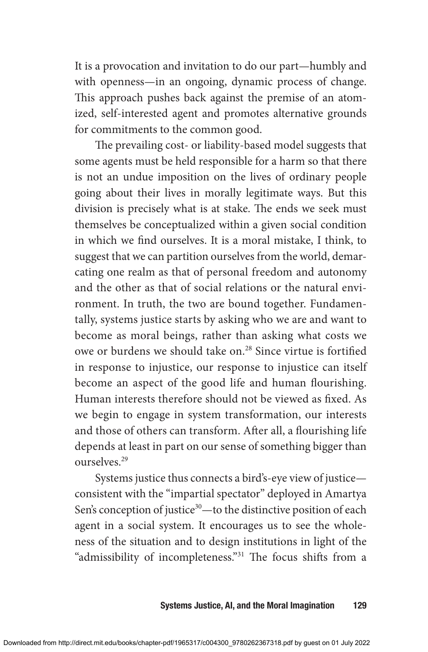It is a provocation and invitation to do our part—humbly and with openness—in an ongoing, dynamic process of change. This approach pushes back against the premise of an atomized, self-interested agent and promotes alternative grounds for commitments to the common good.

The prevailing cost- or liability-based model suggests that some agents must be held responsible for a harm so that there is not an undue imposition on the lives of ordinary people going about their lives in morally legitimate ways. But this division is precisely what is at stake. The ends we seek must themselves be conceptualized within a given social condition in which we find ourselves. It is a moral mistake, I think, to suggest that we can partition ourselves from the world, demarcating one realm as that of personal freedom and autonomy and the other as that of social relations or the natural environment. In truth, the two are bound together. Fundamentally, systems justice starts by asking who we are and want to become as moral beings, rather than asking what costs we owe or burdens we should take on.28 Since virtue is fortified in response to injustice, our response to injustice can itself become an aspect of the good life and human flourishing. Human interests therefore should not be viewed as fixed. As we begin to engage in system transformation, our interests and those of others can transform. After all, a flourishing life depends at least in part on our sense of something bigger than ourselves.29

Systems justice thus connects a bird's-eye view of justice consistent with the "impartial spectator" deployed in Amartya Sen's conception of justice<sup>30</sup>—to the distinctive position of each agent in a social system. It encourages us to see the wholeness of the situation and to design institutions in light of the "admissibility of incompleteness."<sup>31</sup> The focus shifts from a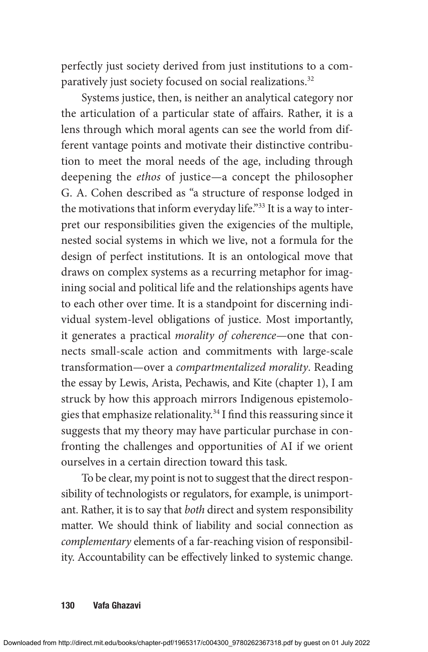perfectly just society derived from just institutions to a comparatively just society focused on social realizations.<sup>32</sup>

Systems justice, then, is neither an analytical category nor the articulation of a particular state of affairs. Rather, it is a lens through which moral agents can see the world from different vantage points and motivate their distinctive contribution to meet the moral needs of the age, including through deepening the *ethos* of justice—a concept the philosopher G. A. Cohen described as "a structure of response lodged in the motivations that inform everyday life."<sup>33</sup> It is a way to interpret our responsibilities given the exigencies of the multiple, nested social systems in which we live, not a formula for the design of perfect institutions. It is an ontological move that draws on complex systems as a recurring metaphor for imagining social and political life and the relationships agents have to each other over time. It is a standpoint for discerning individual system-level obligations of justice. Most importantly, it generates a practical *morality of coherence*—one that connects small-scale action and commitments with large-scale transformation—over a *compartmentalized morality*. Reading the essay by Lewis, Arista, Pechawis, and Kite (chapter 1), I am struck by how this approach mirrors Indigenous epistemologies that emphasize relationality.34 I find this reassuring since it suggests that my theory may have particular purchase in confronting the challenges and opportunities of AI if we orient ourselves in a certain direction toward this task.

To be clear, my point is not to suggest that the direct responsibility of technologists or regulators, for example, is unimportant. Rather, it is to say that *both* direct and system responsibility matter. We should think of liability and social connection as *complementary* elements of a far-reaching vision of responsibility. Accountability can be effectively linked to systemic change.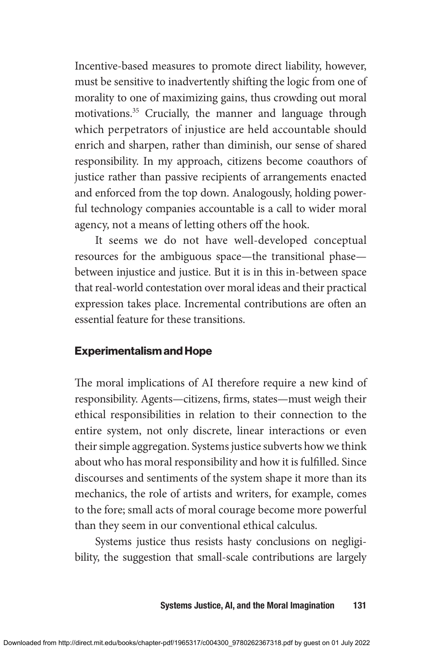Incentive-based measures to promote direct liability, however, must be sensitive to inadvertently shifting the logic from one of morality to one of maximizing gains, thus crowding out moral motivations.35 Crucially, the manner and language through which perpetrators of injustice are held accountable should enrich and sharpen, rather than diminish, our sense of shared responsibility. In my approach, citizens become coauthors of justice rather than passive recipients of arrangements enacted and enforced from the top down. Analogously, holding powerful technology companies accountable is a call to wider moral agency, not a means of letting others off the hook.

It seems we do not have well-developed conceptual resources for the ambiguous space—the transitional phase between injustice and justice. But it is in this in-between space that real-world contestation over moral ideas and their practical expression takes place. Incremental contributions are often an essential feature for these transitions.

# Experimentalism and Hope

The moral implications of AI therefore require a new kind of responsibility. Agents—citizens, firms, states—must weigh their ethical responsibilities in relation to their connection to the entire system, not only discrete, linear interactions or even their simple aggregation. Systems justice subverts how we think about who has moral responsibility and how it is fulfilled. Since discourses and sentiments of the system shape it more than its mechanics, the role of artists and writers, for example, comes to the fore; small acts of moral courage become more powerful than they seem in our conventional ethical calculus.

Systems justice thus resists hasty conclusions on negligibility, the suggestion that small-scale contributions are largely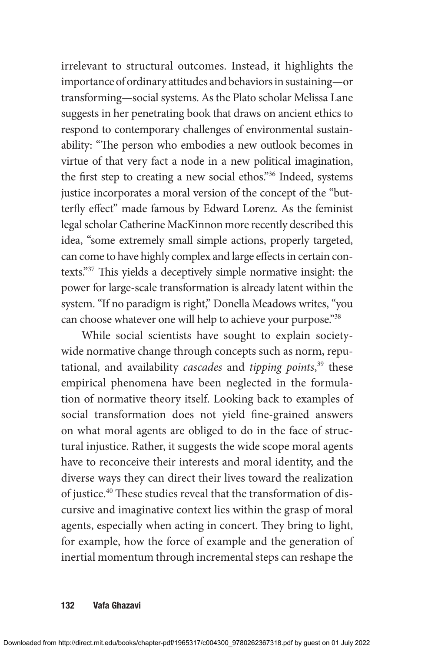irrelevant to structural outcomes. Instead, it highlights the importance of ordinary attitudes and behaviors in sustaining—or transforming—social systems. As the Plato scholar Melissa Lane suggests in her penetrating book that draws on ancient ethics to respond to contemporary challenges of environmental sustainability: "The person who embodies a new outlook becomes in virtue of that very fact a node in a new political imagination, the first step to creating a new social ethos."<sup>36</sup> Indeed, systems justice incorporates a moral version of the concept of the "butterfly effect" made famous by Edward Lorenz. As the feminist legal scholar Catherine MacKinnon more recently described this idea, "some extremely small simple actions, properly targeted, can come to have highly complex and large effects in certain contexts."37 This yields a deceptively simple normative insight: the power for large-scale transformation is already latent within the system. "If no paradigm is right," Donella Meadows writes, "you can choose whatever one will help to achieve your purpose."38

While social scientists have sought to explain societywide normative change through concepts such as norm, reputational, and availability *cascades* and *tipping points*, 39 these empirical phenomena have been neglected in the formulation of normative theory itself. Looking back to examples of social transformation does not yield fine-grained answers on what moral agents are obliged to do in the face of structural injustice. Rather, it suggests the wide scope moral agents have to reconceive their interests and moral identity, and the diverse ways they can direct their lives toward the realization of justice.40 These studies reveal that the transformation of discursive and imaginative context lies within the grasp of moral agents, especially when acting in concert. They bring to light, for example, how the force of example and the generation of inertial momentum through incremental steps can reshape the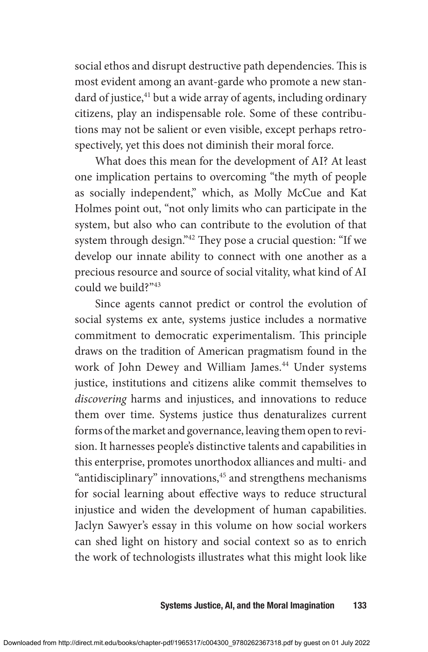social ethos and disrupt destructive path dependencies. This is most evident among an avant-garde who promote a new standard of justice,<sup>41</sup> but a wide array of agents, including ordinary citizens, play an indispensable role. Some of these contributions may not be salient or even visible, except perhaps retrospectively, yet this does not diminish their moral force.

What does this mean for the development of AI? At least one implication pertains to overcoming "the myth of people as socially independent," which, as Molly McCue and Kat Holmes point out, "not only limits who can participate in the system, but also who can contribute to the evolution of that system through design."<sup>42</sup> They pose a crucial question: "If we develop our innate ability to connect with one another as a precious resource and source of social vitality, what kind of AI could we build?"43

Since agents cannot predict or control the evolution of social systems ex ante, systems justice includes a normative commitment to democratic experimentalism. This principle draws on the tradition of American pragmatism found in the work of John Dewey and William James.<sup>44</sup> Under systems justice, institutions and citizens alike commit themselves to *discovering* harms and injustices, and innovations to reduce them over time. Systems justice thus denaturalizes current forms of the market and governance, leaving them open to revision. It harnesses people's distinctive talents and capabilities in this enterprise, promotes unorthodox alliances and multi- and "antidisciplinary" innovations,<sup>45</sup> and strengthens mechanisms for social learning about effective ways to reduce structural injustice and widen the development of human capabilities. Jaclyn Sawyer's essay in this volume on how social workers can shed light on history and social context so as to enrich the work of technologists illustrates what this might look like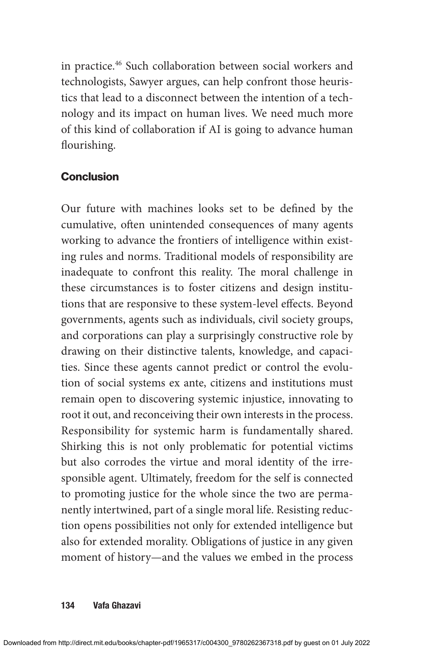in practice.<sup>46</sup> Such collaboration between social workers and technologists, Sawyer argues, can help confront those heuristics that lead to a disconnect between the intention of a technology and its impact on human lives. We need much more of this kind of collaboration if AI is going to advance human flourishing.

# **Conclusion**

Our future with machines looks set to be defined by the cumulative, often unintended consequences of many agents working to advance the frontiers of intelligence within existing rules and norms. Traditional models of responsibility are inadequate to confront this reality. The moral challenge in these circumstances is to foster citizens and design institutions that are responsive to these system-level effects. Beyond governments, agents such as individuals, civil society groups, and corporations can play a surprisingly constructive role by drawing on their distinctive talents, knowledge, and capacities. Since these agents cannot predict or control the evolution of social systems ex ante, citizens and institutions must remain open to discovering systemic injustice, innovating to root it out, and reconceiving their own interests in the process. Responsibility for systemic harm is fundamentally shared. Shirking this is not only problematic for potential victims but also corrodes the virtue and moral identity of the irresponsible agent. Ultimately, freedom for the self is connected to promoting justice for the whole since the two are permanently intertwined, part of a single moral life. Resisting reduction opens possibilities not only for extended intelligence but also for extended morality. Obligations of justice in any given moment of history—and the values we embed in the process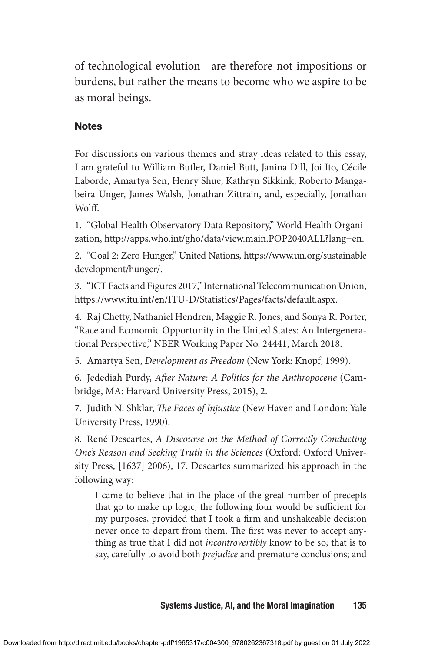of technological evolution—are therefore not impositions or burdens, but rather the means to become who we aspire to be as moral beings.

## Notes

For discussions on various themes and stray ideas related to this essay, I am grateful to William Butler, Daniel Butt, Janina Dill, Joi Ito, Cécile Laborde, Amartya Sen, Henry Shue, Kathryn Sikkink, Roberto Mangabeira Unger, James Walsh, Jonathan Zittrain, and, especially, Jonathan Wolff.

1. "Global Health Observatory Data Repository," World Health Organization, [http://apps.who.int/gho/data/view.main.POP2040ALL?lang=en.](http://apps.who.int/gho/data/view.main.POP2040ALL?lang=en)

2. "Goal 2: Zero Hunger," United Nations, [https://www.un.org/sustainable](https://www.un.org/sustainabledevelopment/hunger/) [development/hunger/.](https://www.un.org/sustainabledevelopment/hunger/)

3. "ICT Facts and Figures 2017," International Telecommunication Union, <https://www.itu.int/en/ITU-D/Statistics/Pages/facts/default.aspx>.

4. Raj Chetty, Nathaniel Hendren, Maggie R. Jones, and Sonya R. Porter, "Race and Economic Opportunity in the United States: An Intergenerational Perspective," NBER Working Paper No. 24441, March 2018.

5. Amartya Sen, *Development as Freedom* (New York: Knopf, 1999).

6. Jedediah Purdy, *After Nature: A Politics for the Anthropocene* (Cambridge, MA: Harvard University Press, 2015), 2.

7. Judith N. Shklar, *The Faces of Injustice* (New Haven and London: Yale University Press, 1990).

8. René Descartes, *A Discourse on the Method of Correctly Conducting One's Reason and Seeking Truth in the Sciences* (Oxford: Oxford University Press, [1637] 2006), 17. Descartes summarized his approach in the following way:

I came to believe that in the place of the great number of precepts that go to make up logic, the following four would be sufficient for my purposes, provided that I took a firm and unshakeable decision never once to depart from them. The first was never to accept anything as true that I did not *incontrovertibly* know to be so; that is to say, carefully to avoid both *prejudice* and premature conclusions; and

### Systems Justice, AI, and the Moral Imagination 135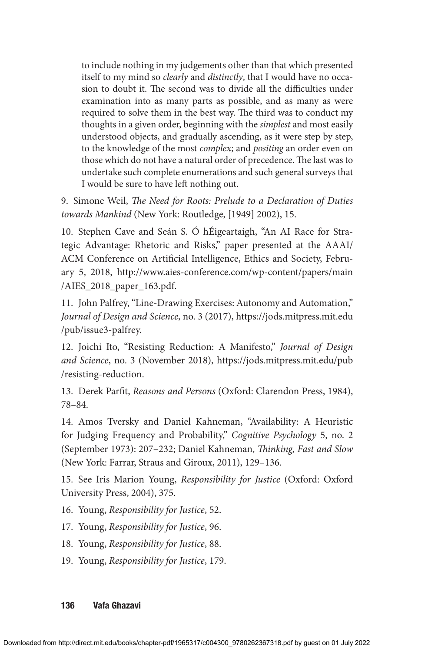to include nothing in my judgements other than that which presented itself to my mind so *clearly* and *distinctly*, that I would have no occasion to doubt it. The second was to divide all the difficulties under examination into as many parts as possible, and as many as were required to solve them in the best way. The third was to conduct my thoughts in a given order, beginning with the *simplest* and most easily understood objects, and gradually ascending, as it were step by step, to the knowledge of the most *complex*; and *positing* an order even on those which do not have a natural order of precedence. The last was to undertake such complete enumerations and such general surveys that I would be sure to have left nothing out.

9. Simone Weil, *The Need for Roots: Prelude to a Declaration of Duties towards Mankind* (New York: Routledge, [1949] 2002), 15.

10. Stephen Cave and Seán S. Ó hÉigeartaigh, "An AI Race for Strategic Advantage: Rhetoric and Risks," paper presented at the AAAI/ ACM Conference on Artificial Intelligence, Ethics and Society, February 5, 2018, [http://www.aies-conference.com/wp-content/papers/main](http://www.aies-conference.com/wp-content/papers/main/AIES_2018_paper_163.pdf) [/AIES\\_2018\\_paper\\_163.pdf](http://www.aies-conference.com/wp-content/papers/main/AIES_2018_paper_163.pdf).

11. John Palfrey, "Line-Drawing Exercises: Autonomy and Automation," *Journal of Design and Science*, no. 3 (2017), [https://jods.mitpress.mit.edu](https://jods.mitpress.mit.edu/pub/issue3-palfrey) [/pub/issue3-palfrey](https://jods.mitpress.mit.edu/pub/issue3-palfrey).

12. Joichi Ito, "Resisting Reduction: A Manifesto," *Journal of Design and Science*, no. 3 (November 2018), [https://jods.mitpress.mit.edu/pub](https://jods.mitpress.mit.edu/pub/resisting-reduction) [/resisting-reduction](https://jods.mitpress.mit.edu/pub/resisting-reduction).

13. Derek Parfit, *Reasons and Persons* (Oxford: Clarendon Press, 1984), 78–84.

14. Amos Tversky and Daniel Kahneman, "Availability: A Heuristic for Judging Frequency and Probability," *Cognitive Psychology* 5, no. 2 (September 1973): 207–232; Daniel Kahneman, *Thinking, Fast and Slow* (New York: Farrar, Straus and Giroux, 2011), 129–136.

15. See Iris Marion Young, *Responsibility for Justice* (Oxford: Oxford University Press, 2004), 375.

16. Young, *Responsibility for Justice*, 52.

17. Young, *Responsibility for Justice*, 96.

18. Young, *Responsibility for Justice*, 88.

19. Young, *Responsibility for Justice*, 179.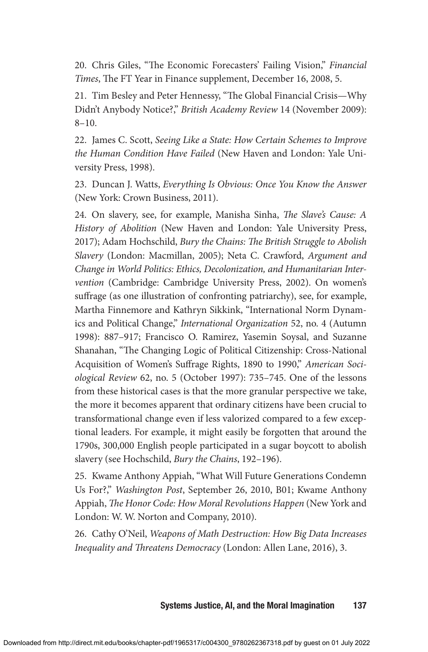20. Chris Giles, "The Economic Forecasters' Failing Vision," *Financial Times*, The FT Year in Finance supplement, December 16, 2008, 5.

21. Tim Besley and Peter Hennessy, "The Global Financial Crisis—Why Didn't Anybody Notice?," *British Academy Review* 14 (November 2009): 8–10.

22. James C. Scott, *Seeing Like a State: How Certain Schemes to Improve the Human Condition Have Failed* (New Haven and London: Yale University Press, 1998).

23. Duncan J. Watts, *Everything Is Obvious: Once You Know the Answer* (New York: Crown Business, 2011).

24. On slavery, see, for example, Manisha Sinha, *The Slave's Cause: A History of Abolition* (New Haven and London: Yale University Press, 2017); Adam Hochschild, *Bury the Chains: The British Struggle to Abolish Slavery* (London: Macmillan, 2005); Neta C. Crawford, *Argument and Change in World Politics: Ethics, Decolonization, and Humanitarian Intervention* (Cambridge: Cambridge University Press, 2002). On women's suffrage (as one illustration of confronting patriarchy), see, for example, Martha Finnemore and Kathryn Sikkink, "International Norm Dynamics and Political Change," *International Organization* 52, no. 4 (Autumn 1998): 887–917; Francisco O. Ramirez, Yasemin Soysal, and Suzanne Shanahan, "The Changing Logic of Political Citizenship: Cross-National Acquisition of Women's Suffrage Rights, 1890 to 1990," *American Sociological Review* 62, no. 5 (October 1997): 735–745. One of the lessons from these historical cases is that the more granular perspective we take, the more it becomes apparent that ordinary citizens have been crucial to transformational change even if less valorized compared to a few exceptional leaders. For example, it might easily be forgotten that around the 1790s, 300,000 English people participated in a sugar boycott to abolish slavery (see Hochschild, *Bury the Chains*, 192–196).

25. Kwame Anthony Appiah, "What Will Future Generations Condemn Us For?," *Washington Post*, September 26, 2010, B01; Kwame Anthony Appiah, *The Honor Code: How Moral Revolutions Happen* (New York and London: W. W. Norton and Company, 2010).

26. Cathy O'Neil, *Weapons of Math Destruction: How Big Data Increases Inequality and Threatens Democracy* (London: Allen Lane, 2016), 3.

Systems Justice, AI, and the Moral Imagination 137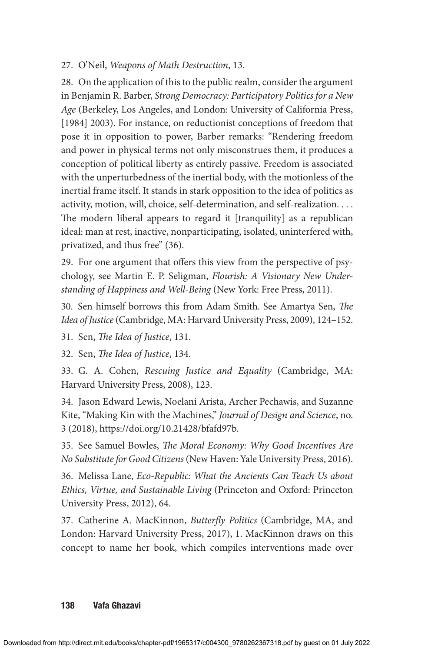### 27. O'Neil, *Weapons of Math Destruction*, 13.

28. On the application of this to the public realm, consider the argument in Benjamin R. Barber, *Strong Democracy: Participatory Politics for a New Age* (Berkeley, Los Angeles, and London: University of California Press, [1984] 2003). For instance, on reductionist conceptions of freedom that pose it in opposition to power, Barber remarks: "Rendering freedom and power in physical terms not only misconstrues them, it produces a conception of political liberty as entirely passive. Freedom is associated with the unperturbedness of the inertial body, with the motionless of the inertial frame itself. It stands in stark opposition to the idea of politics as activity, motion, will, choice, self-determination, and self-realization. . . . The modern liberal appears to regard it [tranquility] as a republican ideal: man at rest, inactive, nonparticipating, isolated, uninterfered with, privatized, and thus free" (36).

29. For one argument that offers this view from the perspective of psychology, see Martin E. P. Seligman, *Flourish: A Visionary New Understanding of Happiness and Well-Being* (New York: Free Press, 2011).

30. Sen himself borrows this from Adam Smith. See Amartya Sen, *The Idea of Justice* (Cambridge, MA: Harvard University Press, 2009), 124–152.

31. Sen, *The Idea of Justice*, 131.

32. Sen, *The Idea of Justice*, 134.

33. G. A. Cohen, *Rescuing Justice and Equality* (Cambridge, MA: Harvard University Press, 2008), 123.

34. Jason Edward Lewis, Noelani Arista, Archer Pechawis, and Suzanne Kite, "Making Kin with the Machines," *Journal of Design and Science*, no. 3 (2018), <https://doi.org/10.21428/bfafd97b>.

35. See Samuel Bowles, *The Moral Economy: Why Good Incentives Are No Substitute for Good Citizens* (New Haven: Yale University Press, 2016).

36. Melissa Lane, *Eco-Republic: What the Ancients Can Teach Us about Ethics, Virtue, and Sustainable Living* (Princeton and Oxford: Princeton University Press, 2012), 64.

37. Catherine A. MacKinnon, *Butterfly Politics* (Cambridge, MA, and London: Harvard University Press, 2017), 1. MacKinnon draws on this concept to name her book, which compiles interventions made over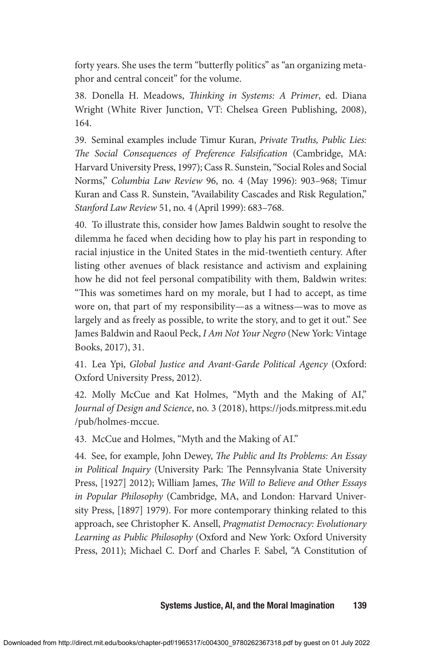forty years. She uses the term "butterfly politics" as "an organizing metaphor and central conceit" for the volume.

38. Donella H. Meadows, *Thinking in Systems: A Primer*, ed. Diana Wright (White River Junction, VT: Chelsea Green Publishing, 2008), 164.

39. Seminal examples include Timur Kuran, *Private Truths, Public Lies: The Social Consequences of Preference Falsification* (Cambridge, MA: Harvard University Press, 1997); Cass R. Sunstein, "Social Roles and Social Norms," *Columbia Law Review* 96, no. 4 (May 1996): 903–968; Timur Kuran and Cass R. Sunstein, "Availability Cascades and Risk Regulation," *Stanford Law Review* 51, no. 4 (April 1999): 683–768.

40. To illustrate this, consider how James Baldwin sought to resolve the dilemma he faced when deciding how to play his part in responding to racial injustice in the United States in the mid-twentieth century. After listing other avenues of black resistance and activism and explaining how he did not feel personal compatibility with them, Baldwin writes: "This was sometimes hard on my morale, but I had to accept, as time wore on, that part of my responsibility—as a witness—was to move as largely and as freely as possible, to write the story, and to get it out." See James Baldwin and Raoul Peck, *I Am Not Your Negro* (New York: Vintage Books, 2017), 31.

41. Lea Ypi, *Global Justice and Avant-Garde Political Agency* (Oxford: Oxford University Press, 2012).

42. Molly McCue and Kat Holmes, "Myth and the Making of AI," *Journal of Design and Science*, no. 3 (2018), [https://jods.mitpress.mit.edu](https://jods.mitpress.mit.edu/pub/holmes-mccue) [/pub/holmes-mccue.](https://jods.mitpress.mit.edu/pub/holmes-mccue)

43. McCue and Holmes, "Myth and the Making of AI."

44. See, for example, John Dewey, *The Public and Its Problems: An Essay in Political Inquiry* (University Park: The Pennsylvania State University Press, [1927] 2012); William James, *The Will to Believe and Other Essays in Popular Philosophy* (Cambridge, MA, and London: Harvard University Press, [1897] 1979). For more contemporary thinking related to this approach, see Christopher K. Ansell, *Pragmatist Democracy: Evolutionary Learning as Public Philosophy* (Oxford and New York: Oxford University Press, 2011); Michael C. Dorf and Charles F. Sabel, "A Constitution of